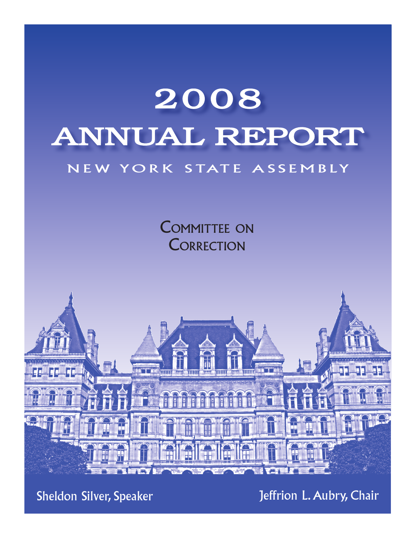# 2008 Annual Report NEW YORK STATE ASSEMBLY

COMMITTEE ON **CORRECTION** 



Sheldon Silver, Speaker

Jeffrion L. Aubry, Chair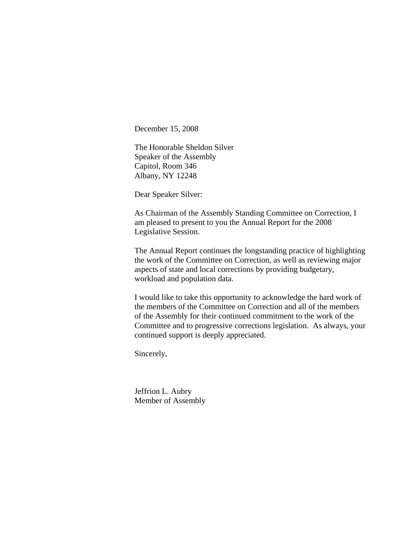December 15, 2008

The Honorable Sheldon Silver Speaker of the Assembly Capitol, Room 346 Albany, NY 12248

Dear Speaker Silver:

As Chairman of the Assembly Standing Committee on Correction, I am pleased to present to you the Annual Report for the 2008 Legislative Session.

The Annual Report continues the longstanding practice of highlighting the work of the Committee on Correction, as well as reviewing major aspects of state and local corrections by providing budgetary, workload and population data.

I would like to take this opportunity to acknowledge the hard work of the members of the Committee on Correction and all of the members of the Assembly for their continued commitment to the work of the Committee and to progressive corrections legislation. As always, your continued support is deeply appreciated.

Sincerely,

Jeffrion L. Aubry Member of Assembly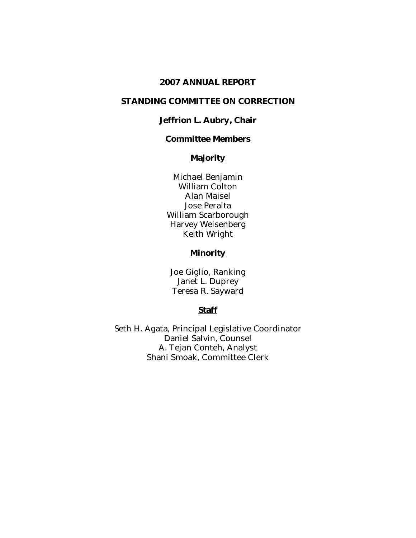#### 2007 ANNUAL REPORT

#### STANDING COMMITTEE ON CORRECTION

#### Jeffrion L. Aubry, Chair

## Committee Members

# **Majority**

Michael Benjamin William Colton Alan Maisel Jose Peralta William Scarborough Harvey Weisenberg Keith Wright

#### **Minority**

Joe Giglio, Ranking Janet L. Duprey Teresa R. Sayward

#### **Staff**

Seth H. Agata, Principal Legislative Coordinator Daniel Salvin, Counsel A. Tejan Conteh, Analyst Shani Smoak, Committee Clerk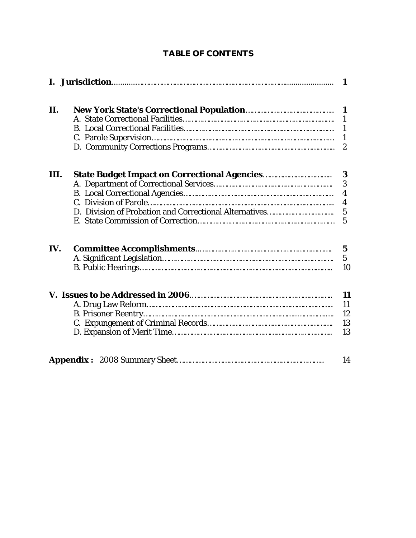| H. |  |
|----|--|

 C. Parole Supervision………………………………………………………………………… 1 D. Community Corrections Programs………………………………………………….. 2

# TABLE OF CONTENTS

| Ш.  |                                                                                                                                                                                                                                                                                                        |                      |
|-----|--------------------------------------------------------------------------------------------------------------------------------------------------------------------------------------------------------------------------------------------------------------------------------------------------------|----------------------|
|     |                                                                                                                                                                                                                                                                                                        |                      |
|     |                                                                                                                                                                                                                                                                                                        |                      |
|     |                                                                                                                                                                                                                                                                                                        | 4                    |
|     |                                                                                                                                                                                                                                                                                                        |                      |
|     |                                                                                                                                                                                                                                                                                                        |                      |
| IV. |                                                                                                                                                                                                                                                                                                        | $\overline{5}$<br>10 |
|     | $\mathbf{A}$ $\mathbf{D}$ and $\mathbf{I}$ and $\mathbf{D}$ and $\mathbf{C}$ and $\mathbf{D}$ and $\mathbf{D}$ and $\mathbf{D}$ and $\mathbf{D}$ and $\mathbf{D}$ and $\mathbf{D}$ and $\mathbf{D}$ and $\mathbf{D}$ and $\mathbf{D}$ and $\mathbf{D}$ and $\mathbf{D}$ and $\mathbf{D}$ and $\mathbf$ | 11                   |

|--|--|--|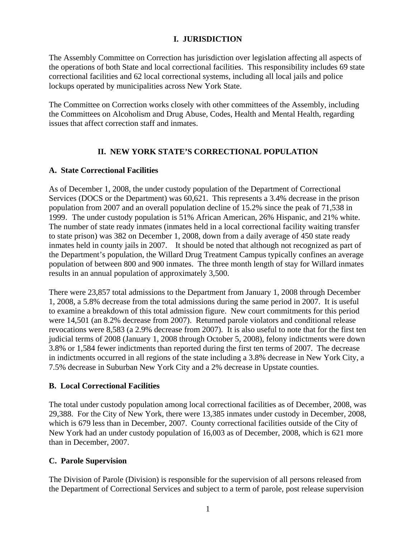#### **I. JURISDICTION**

The Assembly Committee on Correction has jurisdiction over legislation affecting all aspects of the operations of both State and local correctional facilities. This responsibility includes 69 state correctional facilities and 62 local correctional systems, including all local jails and police lockups operated by municipalities across New York State.

The Committee on Correction works closely with other committees of the Assembly, including the Committees on Alcoholism and Drug Abuse, Codes, Health and Mental Health, regarding issues that affect correction staff and inmates.

# **II. NEW YORK STATE'S CORRECTIONAL POPULATION**

#### **A. State Correctional Facilities**

As of December 1, 2008, the under custody population of the Department of Correctional Services (DOCS or the Department) was 60,621. This represents a 3.4% decrease in the prison population from 2007 and an overall population decline of 15.2% since the peak of 71,538 in 1999. The under custody population is 51% African American, 26% Hispanic, and 21% white. The number of state ready inmates (inmates held in a local correctional facility waiting transfer to state prison) was 382 on December 1, 2008, down from a daily average of 450 state ready inmates held in county jails in 2007. It should be noted that although not recognized as part of the Department's population, the Willard Drug Treatment Campus typically confines an average population of between 800 and 900 inmates. The three month length of stay for Willard inmates results in an annual population of approximately 3,500.

There were 23,857 total admissions to the Department from January 1, 2008 through December 1, 2008, a 5.8% decrease from the total admissions during the same period in 2007. It is useful to examine a breakdown of this total admission figure. New court commitments for this period were 14,501 (an 8.2% decrease from 2007). Returned parole violators and conditional release revocations were 8,583 (a 2.9% decrease from 2007). It is also useful to note that for the first ten judicial terms of 2008 (January 1, 2008 through October 5, 2008), felony indictments were down 3.8% or 1,584 fewer indictments than reported during the first ten terms of 2007. The decrease in indictments occurred in all regions of the state including a 3.8% decrease in New York City, a 7.5% decrease in Suburban New York City and a 2% decrease in Upstate counties.

#### **B. Local Correctional Facilities**

The total under custody population among local correctional facilities as of December, 2008, was 29,388. For the City of New York, there were 13,385 inmates under custody in December, 2008, which is 679 less than in December, 2007. County correctional facilities outside of the City of New York had an under custody population of 16,003 as of December, 2008, which is 621 more than in December, 2007.

#### **C. Parole Supervision**

The Division of Parole (Division) is responsible for the supervision of all persons released from the Department of Correctional Services and subject to a term of parole, post release supervision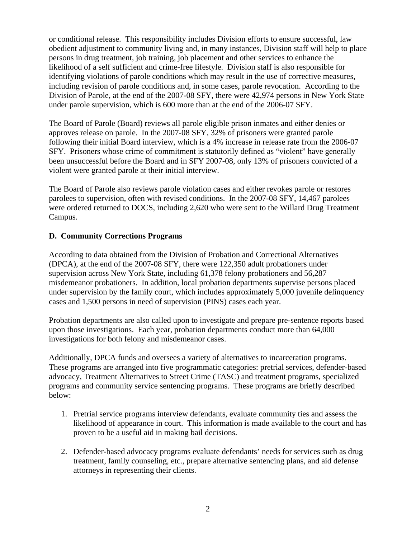or conditional release. This responsibility includes Division efforts to ensure successful, law obedient adjustment to community living and, in many instances, Division staff will help to place persons in drug treatment, job training, job placement and other services to enhance the likelihood of a self sufficient and crime-free lifestyle. Division staff is also responsible for identifying violations of parole conditions which may result in the use of corrective measures, including revision of parole conditions and, in some cases, parole revocation. According to the Division of Parole, at the end of the 2007-08 SFY, there were 42,974 persons in New York State under parole supervision, which is 600 more than at the end of the 2006-07 SFY.

The Board of Parole (Board) reviews all parole eligible prison inmates and either denies or approves release on parole. In the 2007-08 SFY, 32% of prisoners were granted parole following their initial Board interview, which is a 4% increase in release rate from the 2006-07 SFY. Prisoners whose crime of commitment is statutorily defined as "violent" have generally been unsuccessful before the Board and in SFY 2007-08, only 13% of prisoners convicted of a violent were granted parole at their initial interview.

The Board of Parole also reviews parole violation cases and either revokes parole or restores parolees to supervision, often with revised conditions. In the 2007-08 SFY, 14,467 parolees were ordered returned to DOCS, including 2,620 who were sent to the Willard Drug Treatment Campus.

#### **D. Community Corrections Programs**

According to data obtained from the Division of Probation and Correctional Alternatives (DPCA), at the end of the 2007-08 SFY, there were 122,350 adult probationers under supervision across New York State, including 61,378 felony probationers and 56,287 misdemeanor probationers. In addition, local probation departments supervise persons placed under supervision by the family court, which includes approximately 5,000 juvenile delinquency cases and 1,500 persons in need of supervision (PINS) cases each year.

Probation departments are also called upon to investigate and prepare pre-sentence reports based upon those investigations. Each year, probation departments conduct more than 64,000 investigations for both felony and misdemeanor cases.

Additionally, DPCA funds and oversees a variety of alternatives to incarceration programs. These programs are arranged into five programmatic categories: pretrial services, defender-based advocacy, Treatment Alternatives to Street Crime (TASC) and treatment programs, specialized programs and community service sentencing programs. These programs are briefly described below:

- 1. Pretrial service programs interview defendants, evaluate community ties and assess the likelihood of appearance in court. This information is made available to the court and has proven to be a useful aid in making bail decisions.
- 2. Defender-based advocacy programs evaluate defendants' needs for services such as drug treatment, family counseling, etc., prepare alternative sentencing plans, and aid defense attorneys in representing their clients.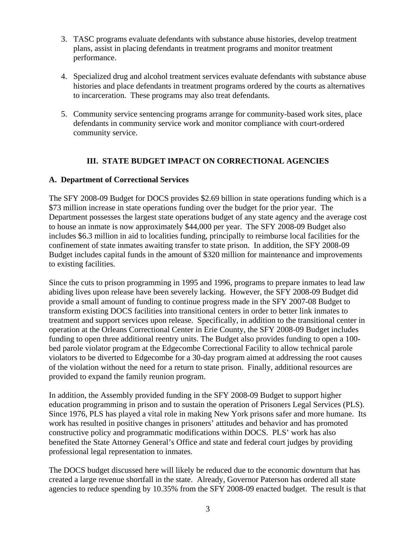- 3. TASC programs evaluate defendants with substance abuse histories, develop treatment plans, assist in placing defendants in treatment programs and monitor treatment performance.
- 4. Specialized drug and alcohol treatment services evaluate defendants with substance abuse histories and place defendants in treatment programs ordered by the courts as alternatives to incarceration. These programs may also treat defendants.
- 5. Community service sentencing programs arrange for community-based work sites, place defendants in community service work and monitor compliance with court-ordered community service.

# **III. STATE BUDGET IMPACT ON CORRECTIONAL AGENCIES**

#### **A. Department of Correctional Services**

The SFY 2008-09 Budget for DOCS provides \$2.69 billion in state operations funding which is a \$73 million increase in state operations funding over the budget for the prior year. The Department possesses the largest state operations budget of any state agency and the average cost to house an inmate is now approximately \$44,000 per year. The SFY 2008-09 Budget also includes \$6.3 million in aid to localities funding, principally to reimburse local facilities for the confinement of state inmates awaiting transfer to state prison. In addition, the SFY 2008-09 Budget includes capital funds in the amount of \$320 million for maintenance and improvements to existing facilities.

Since the cuts to prison programming in 1995 and 1996, programs to prepare inmates to lead law abiding lives upon release have been severely lacking. However, the SFY 2008-09 Budget did provide a small amount of funding to continue progress made in the SFY 2007-08 Budget to transform existing DOCS facilities into transitional centers in order to better link inmates to treatment and support services upon release. Specifically, in addition to the transitional center in operation at the Orleans Correctional Center in Erie County, the SFY 2008-09 Budget includes funding to open three additional reentry units. The Budget also provides funding to open a 100 bed parole violator program at the Edgecombe Correctional Facility to allow technical parole violators to be diverted to Edgecombe for a 30-day program aimed at addressing the root causes of the violation without the need for a return to state prison. Finally, additional resources are provided to expand the family reunion program.

In addition, the Assembly provided funding in the SFY 2008-09 Budget to support higher education programming in prison and to sustain the operation of Prisoners Legal Services (PLS). Since 1976, PLS has played a vital role in making New York prisons safer and more humane. Its work has resulted in positive changes in prisoners' attitudes and behavior and has promoted constructive policy and programmatic modifications within DOCS. PLS' work has also benefited the State Attorney General's Office and state and federal court judges by providing professional legal representation to inmates.

The DOCS budget discussed here will likely be reduced due to the economic downturn that has created a large revenue shortfall in the state. Already, Governor Paterson has ordered all state agencies to reduce spending by 10.35% from the SFY 2008-09 enacted budget. The result is that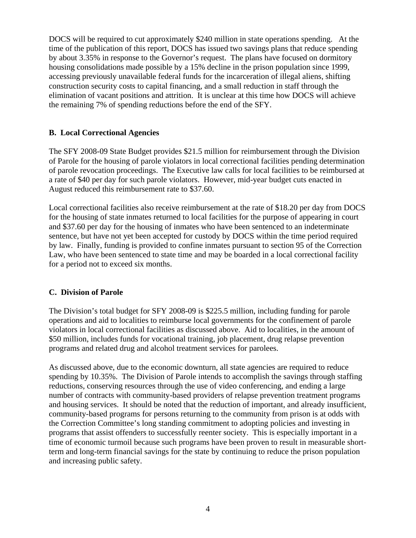DOCS will be required to cut approximately \$240 million in state operations spending. At the time of the publication of this report, DOCS has issued two savings plans that reduce spending by about 3.35% in response to the Governor's request. The plans have focused on dormitory housing consolidations made possible by a 15% decline in the prison population since 1999, accessing previously unavailable federal funds for the incarceration of illegal aliens, shifting construction security costs to capital financing, and a small reduction in staff through the elimination of vacant positions and attrition. It is unclear at this time how DOCS will achieve the remaining 7% of spending reductions before the end of the SFY.

#### **B. Local Correctional Agencies**

The SFY 2008-09 State Budget provides \$21.5 million for reimbursement through the Division of Parole for the housing of parole violators in local correctional facilities pending determination of parole revocation proceedings. The Executive law calls for local facilities to be reimbursed at a rate of \$40 per day for such parole violators. However, mid-year budget cuts enacted in August reduced this reimbursement rate to \$37.60.

Local correctional facilities also receive reimbursement at the rate of \$18.20 per day from DOCS for the housing of state inmates returned to local facilities for the purpose of appearing in court and \$37.60 per day for the housing of inmates who have been sentenced to an indeterminate sentence, but have not yet been accepted for custody by DOCS within the time period required by law. Finally, funding is provided to confine inmates pursuant to section 95 of the Correction Law, who have been sentenced to state time and may be boarded in a local correctional facility for a period not to exceed six months.

#### **C. Division of Parole**

The Division's total budget for SFY 2008-09 is \$225.5 million, including funding for parole operations and aid to localities to reimburse local governments for the confinement of parole violators in local correctional facilities as discussed above. Aid to localities, in the amount of \$50 million, includes funds for vocational training, job placement, drug relapse prevention programs and related drug and alcohol treatment services for parolees.

As discussed above, due to the economic downturn, all state agencies are required to reduce spending by 10.35%. The Division of Parole intends to accomplish the savings through staffing reductions, conserving resources through the use of video conferencing, and ending a large number of contracts with community-based providers of relapse prevention treatment programs and housing services. It should be noted that the reduction of important, and already insufficient, community-based programs for persons returning to the community from prison is at odds with the Correction Committee's long standing commitment to adopting policies and investing in programs that assist offenders to successfully reenter society. This is especially important in a time of economic turmoil because such programs have been proven to result in measurable shortterm and long-term financial savings for the state by continuing to reduce the prison population and increasing public safety.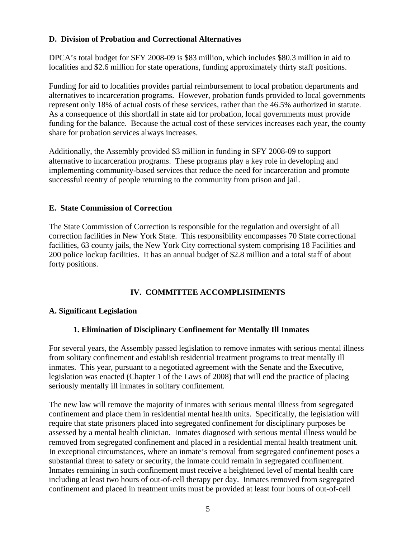### **D. Division of Probation and Correctional Alternatives**

DPCA's total budget for SFY 2008-09 is \$83 million, which includes \$80.3 million in aid to localities and \$2.6 million for state operations, funding approximately thirty staff positions.

Funding for aid to localities provides partial reimbursement to local probation departments and alternatives to incarceration programs. However, probation funds provided to local governments represent only 18% of actual costs of these services, rather than the 46.5% authorized in statute. As a consequence of this shortfall in state aid for probation, local governments must provide funding for the balance. Because the actual cost of these services increases each year, the county share for probation services always increases.

Additionally, the Assembly provided \$3 million in funding in SFY 2008-09 to support alternative to incarceration programs. These programs play a key role in developing and implementing community-based services that reduce the need for incarceration and promote successful reentry of people returning to the community from prison and jail.

#### **E. State Commission of Correction**

The State Commission of Correction is responsible for the regulation and oversight of all correction facilities in New York State. This responsibility encompasses 70 State correctional facilities, 63 county jails, the New York City correctional system comprising 18 Facilities and 200 police lockup facilities. It has an annual budget of \$2.8 million and a total staff of about forty positions.

#### **IV. COMMITTEE ACCOMPLISHMENTS**

#### **A. Significant Legislation**

#### **1. Elimination of Disciplinary Confinement for Mentally Ill Inmates**

For several years, the Assembly passed legislation to remove inmates with serious mental illness from solitary confinement and establish residential treatment programs to treat mentally ill inmates. This year, pursuant to a negotiated agreement with the Senate and the Executive, legislation was enacted (Chapter 1 of the Laws of 2008) that will end the practice of placing seriously mentally ill inmates in solitary confinement.

The new law will remove the majority of inmates with serious mental illness from segregated confinement and place them in residential mental health units. Specifically, the legislation will require that state prisoners placed into segregated confinement for disciplinary purposes be assessed by a mental health clinician. Inmates diagnosed with serious mental illness would be removed from segregated confinement and placed in a residential mental health treatment unit. In exceptional circumstances, where an inmate's removal from segregated confinement poses a substantial threat to safety or security, the inmate could remain in segregated confinement. Inmates remaining in such confinement must receive a heightened level of mental health care including at least two hours of out-of-cell therapy per day. Inmates removed from segregated confinement and placed in treatment units must be provided at least four hours of out-of-cell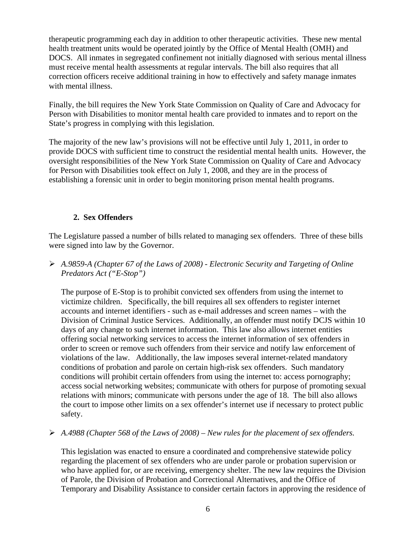therapeutic programming each day in addition to other therapeutic activities. These new mental health treatment units would be operated jointly by the Office of Mental Health (OMH) and DOCS. All inmates in segregated confinement not initially diagnosed with serious mental illness must receive mental health assessments at regular intervals. The bill also requires that all correction officers receive additional training in how to effectively and safety manage inmates with mental illness.

Finally, the bill requires the New York State Commission on Quality of Care and Advocacy for Person with Disabilities to monitor mental health care provided to inmates and to report on the State's progress in complying with this legislation.

The majority of the new law's provisions will not be effective until July 1, 2011, in order to provide DOCS with sufficient time to construct the residential mental health units. However, the oversight responsibilities of the New York State Commission on Quality of Care and Advocacy for Person with Disabilities took effect on July 1, 2008, and they are in the process of establishing a forensic unit in order to begin monitoring prison mental health programs.

# **2. Sex Offenders**

The Legislature passed a number of bills related to managing sex offenders. Three of these bills were signed into law by the Governor.

¾ *A.9859-A (Chapter 67 of the Laws of 2008) - Electronic Security and Targeting of Online Predators Act ("E-Stop")*

The purpose of E-Stop is to prohibit convicted sex offenders from using the internet to victimize children. Specifically, the bill requires all sex offenders to register internet accounts and internet identifiers - such as e-mail addresses and screen names – with the Division of Criminal Justice Services. Additionally, an offender must notify DCJS within 10 days of any change to such internet information. This law also allows internet entities offering social networking services to access the internet information of sex offenders in order to screen or remove such offenders from their service and notify law enforcement of violations of the law. Additionally, the law imposes several internet-related mandatory conditions of probation and parole on certain high-risk sex offenders. Such mandatory conditions will prohibit certain offenders from using the internet to: access pornography; access social networking websites; communicate with others for purpose of promoting sexual relations with minors; communicate with persons under the age of 18.The bill also allows the court to impose other limits on a sex offender's internet use if necessary to protect public safety.

#### ¾ *A.4988 (Chapter 568 of the Laws of 2008) – New rules for the placement of sex offenders.*

 This legislation was enacted to ensure a coordinated and comprehensive statewide policy regarding the placement of sex offenders who are under parole or probation supervision or who have applied for, or are receiving, emergency shelter. The new law requires the Division of Parole, the Division of Probation and Correctional Alternatives, and the Office of Temporary and Disability Assistance to consider certain factors in approving the residence of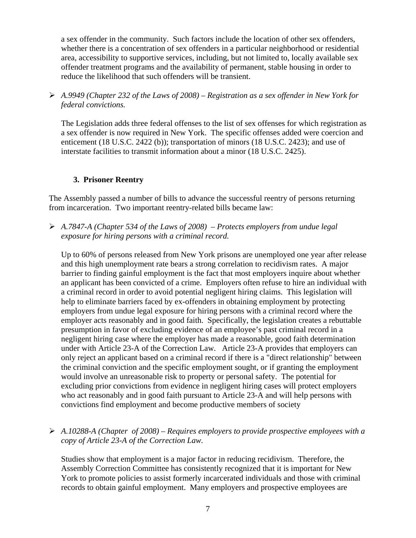a sex offender in the community. Such factors include the location of other sex offenders, whether there is a concentration of sex offenders in a particular neighborhood or residential area, accessibility to supportive services, including, but not limited to, locally available sex offender treatment programs and the availability of permanent, stable housing in order to reduce the likelihood that such offenders will be transient.

¾ *A.9949 (Chapter 232 of the Laws of 2008) – Registration as a sex offender in New York for federal convictions.* 

The Legislation adds three federal offenses to the list of sex offenses for which registration as a sex offender is now required in New York. The specific offenses added were coercion and enticement (18 U.S.C. 2422 (b)); transportation of minors (18 U.S.C. 2423); and use of interstate facilities to transmit information about a minor (18 U.S.C. 2425).

#### **3. Prisoner Reentry**

The Assembly passed a number of bills to advance the successful reentry of persons returning from incarceration. Two important reentry-related bills became law:

¾ *A.7847-A (Chapter 534 of the Laws of 2008) – Protects employers from undue legal exposure for hiring persons with a criminal record.* 

Up to 60% of persons released from New York prisons are unemployed one year after release and this high unemployment rate bears a strong correlation to recidivism rates. A major barrier to finding gainful employment is the fact that most employers inquire about whether an applicant has been convicted of a crime. Employers often refuse to hire an individual with a criminal record in order to avoid potential negligent hiring claims. This legislation will help to eliminate barriers faced by ex-offenders in obtaining employment by protecting employers from undue legal exposure for hiring persons with a criminal record where the employer acts reasonably and in good faith. Specifically, the legislation creates a rebuttable presumption in favor of excluding evidence of an employee's past criminal record in a negligent hiring case where the employer has made a reasonable, good faith determination under with Article 23-A of the Correction Law. Article 23-A provides that employers can only reject an applicant based on a criminal record if there is a "direct relationship" between the criminal conviction and the specific employment sought, or if granting the employment would involve an unreasonable risk to property or personal safety. The potential for excluding prior convictions from evidence in negligent hiring cases will protect employers who act reasonably and in good faith pursuant to Article 23-A and will help persons with convictions find employment and become productive members of society

¾ *A.10288-A (Chapter of 2008) – Requires employers to provide prospective employees with a copy of Article 23-A of the Correction Law.* 

Studies show that employment is a major factor in reducing recidivism. Therefore, the Assembly Correction Committee has consistently recognized that it is important for New York to promote policies to assist formerly incarcerated individuals and those with criminal records to obtain gainful employment. Many employers and prospective employees are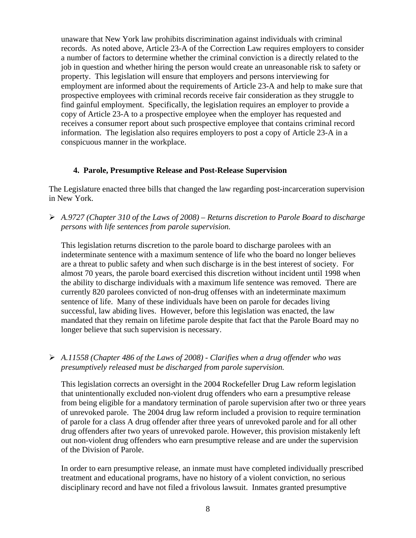unaware that New York law prohibits discrimination against individuals with criminal records. As noted above, Article 23-A of the Correction Law requires employers to consider a number of factors to determine whether the criminal conviction is a directly related to the job in question and whether hiring the person would create an unreasonable risk to safety or property. This legislation will ensure that employers and persons interviewing for employment are informed about the requirements of Article 23-A and help to make sure that prospective employees with criminal records receive fair consideration as they struggle to find gainful employment. Specifically, the legislation requires an employer to provide a copy of Article 23-A to a prospective employee when the employer has requested and receives a consumer report about such prospective employee that contains criminal record information. The legislation also requires employers to post a copy of Article 23-A in a conspicuous manner in the workplace.

#### **4. Parole, Presumptive Release and Post-Release Supervision**

The Legislature enacted three bills that changed the law regarding post-incarceration supervision in New York.

¾ *A.9727 (Chapter 310 of the Laws of 2008) – Returns discretion to Parole Board to discharge persons with life sentences from parole supervision.* 

This legislation returns discretion to the parole board to discharge parolees with an indeterminate sentence with a maximum sentence of life who the board no longer believes are a threat to public safety and when such discharge is in the best interest of society. For almost 70 years, the parole board exercised this discretion without incident until 1998 when the ability to discharge individuals with a maximum life sentence was removed. There are currently 820 parolees convicted of non-drug offenses with an indeterminate maximum sentence of life. Many of these individuals have been on parole for decades living successful, law abiding lives. However, before this legislation was enacted, the law mandated that they remain on lifetime parole despite that fact that the Parole Board may no longer believe that such supervision is necessary.

¾ *A.11558 (Chapter 486 of the Laws of 2008) - Clarifies when a drug offender who was presumptively released must be discharged from parole supervision.* 

This legislation corrects an oversight in the 2004 Rockefeller Drug Law reform legislation that unintentionally excluded non-violent drug offenders who earn a presumptive release from being eligible for a mandatory termination of parole supervision after two or three years of unrevoked parole. The 2004 drug law reform included a provision to require termination of parole for a class A drug offender after three years of unrevoked parole and for all other drug offenders after two years of unrevoked parole. However, this provision mistakenly left out non-violent drug offenders who earn presumptive release and are under the supervision of the Division of Parole.

In order to earn presumptive release, an inmate must have completed individually prescribed treatment and educational programs, have no history of a violent conviction, no serious disciplinary record and have not filed a frivolous lawsuit. Inmates granted presumptive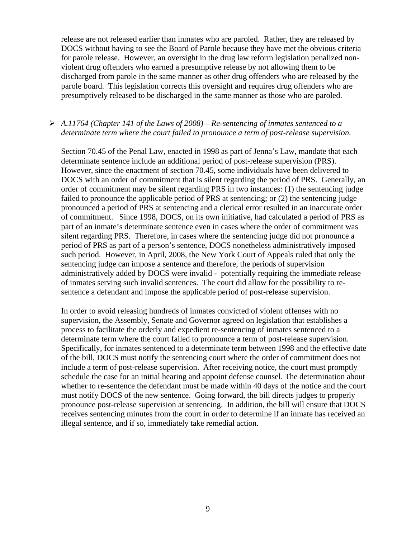release are not released earlier than inmates who are paroled. Rather, they are released by DOCS without having to see the Board of Parole because they have met the obvious criteria for parole release. However, an oversight in the drug law reform legislation penalized nonviolent drug offenders who earned a presumptive release by not allowing them to be discharged from parole in the same manner as other drug offenders who are released by the parole board. This legislation corrects this oversight and requires drug offenders who are presumptively released to be discharged in the same manner as those who are paroled.

#### ¾ *A.11764 (Chapter 141 of the Laws of 2008) – Re-sentencing of inmates sentenced to a determinate term where the court failed to pronounce a term of post-release supervision.*

Section 70.45 of the Penal Law, enacted in 1998 as part of Jenna's Law, mandate that each determinate sentence include an additional period of post-release supervision (PRS). However, since the enactment of section 70.45, some individuals have been delivered to DOCS with an order of commitment that is silent regarding the period of PRS. Generally, an order of commitment may be silent regarding PRS in two instances: (1) the sentencing judge failed to pronounce the applicable period of PRS at sentencing; or (2) the sentencing judge pronounced a period of PRS at sentencing and a clerical error resulted in an inaccurate order of commitment. Since 1998, DOCS, on its own initiative, had calculated a period of PRS as part of an inmate's determinate sentence even in cases where the order of commitment was silent regarding PRS. Therefore, in cases where the sentencing judge did not pronounce a period of PRS as part of a person's sentence, DOCS nonetheless administratively imposed such period. However, in April, 2008, the New York Court of Appeals ruled that only the sentencing judge can impose a sentence and therefore, the periods of supervision administratively added by DOCS were invalid - potentially requiring the immediate release of inmates serving such invalid sentences. The court did allow for the possibility to resentence a defendant and impose the applicable period of post-release supervision.

In order to avoid releasing hundreds of inmates convicted of violent offenses with no supervision, the Assembly, Senate and Governor agreed on legislation that establishes a process to facilitate the orderly and expedient re-sentencing of inmates sentenced to a determinate term where the court failed to pronounce a term of post-release supervision. Specifically, for inmates sentenced to a determinate term between 1998 and the effective date of the bill, DOCS must notify the sentencing court where the order of commitment does not include a term of post-release supervision. After receiving notice, the court must promptly schedule the case for an initial hearing and appoint defense counsel. The determination about whether to re-sentence the defendant must be made within 40 days of the notice and the court must notify DOCS of the new sentence. Going forward, the bill directs judges to properly pronounce post-release supervision at sentencing. In addition, the bill will ensure that DOCS receives sentencing minutes from the court in order to determine if an inmate has received an illegal sentence, and if so, immediately take remedial action.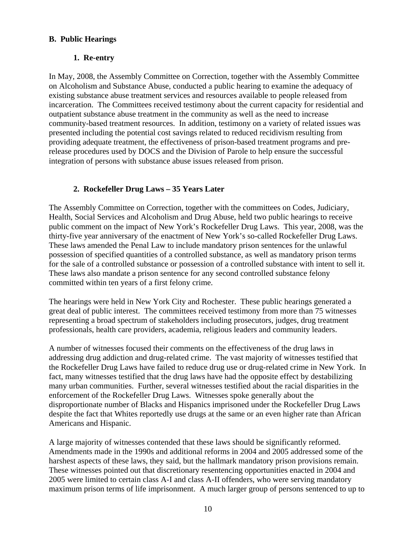#### **B. Public Hearings**

# **1. Re-entry**

In May, 2008, the Assembly Committee on Correction, together with the Assembly Committee on Alcoholism and Substance Abuse, conducted a public hearing to examine the adequacy of existing substance abuse treatment services and resources available to people released from incarceration. The Committees received testimony about the current capacity for residential and outpatient substance abuse treatment in the community as well as the need to increase community-based treatment resources. In addition, testimony on a variety of related issues was presented including the potential cost savings related to reduced recidivism resulting from providing adequate treatment, the effectiveness of prison-based treatment programs and prerelease procedures used by DOCS and the Division of Parole to help ensure the successful integration of persons with substance abuse issues released from prison.

# **2. Rockefeller Drug Laws – 35 Years Later**

The Assembly Committee on Correction, together with the committees on Codes, Judiciary, Health, Social Services and Alcoholism and Drug Abuse, held two public hearings to receive public comment on the impact of New York's Rockefeller Drug Laws. This year, 2008, was the thirty-five year anniversary of the enactment of New York's so-called Rockefeller Drug Laws. These laws amended the Penal Law to include mandatory prison sentences for the unlawful possession of specified quantities of a controlled substance, as well as mandatory prison terms for the sale of a controlled substance or possession of a controlled substance with intent to sell it. These laws also mandate a prison sentence for any second controlled substance felony committed within ten years of a first felony crime.

The hearings were held in New York City and Rochester. These public hearings generated a great deal of public interest. The committees received testimony from more than 75 witnesses representing a broad spectrum of stakeholders including prosecutors, judges, drug treatment professionals, health care providers, academia, religious leaders and community leaders.

A number of witnesses focused their comments on the effectiveness of the drug laws in addressing drug addiction and drug-related crime. The vast majority of witnesses testified that the Rockefeller Drug Laws have failed to reduce drug use or drug-related crime in New York. In fact, many witnesses testified that the drug laws have had the opposite effect by destabilizing many urban communities. Further, several witnesses testified about the racial disparities in the enforcement of the Rockefeller Drug Laws. Witnesses spoke generally about the disproportionate number of Blacks and Hispanics imprisoned under the Rockefeller Drug Laws despite the fact that Whites reportedly use drugs at the same or an even higher rate than African Americans and Hispanic.

A large majority of witnesses contended that these laws should be significantly reformed. Amendments made in the 1990s and additional reforms in 2004 and 2005 addressed some of the harshest aspects of these laws, they said, but the hallmark mandatory prison provisions remain. These witnesses pointed out that discretionary resentencing opportunities enacted in 2004 and 2005 were limited to certain class A-I and class A-II offenders, who were serving mandatory maximum prison terms of life imprisonment. A much larger group of persons sentenced to up to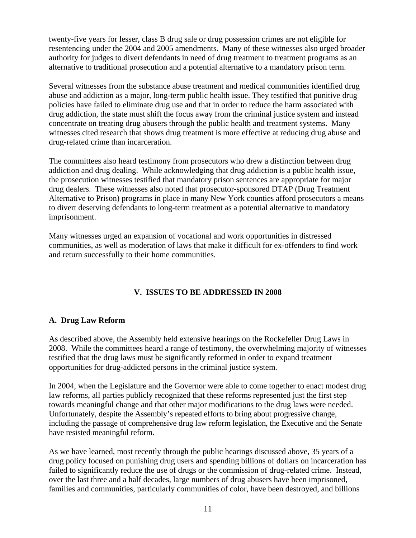twenty-five years for lesser, class B drug sale or drug possession crimes are not eligible for resentencing under the 2004 and 2005 amendments. Many of these witnesses also urged broader authority for judges to divert defendants in need of drug treatment to treatment programs as an alternative to traditional prosecution and a potential alternative to a mandatory prison term.

Several witnesses from the substance abuse treatment and medical communities identified drug abuse and addiction as a major, long-term public health issue. They testified that punitive drug policies have failed to eliminate drug use and that in order to reduce the harm associated with drug addiction, the state must shift the focus away from the criminal justice system and instead concentrate on treating drug abusers through the public health and treatment systems. Many witnesses cited research that shows drug treatment is more effective at reducing drug abuse and drug-related crime than incarceration.

The committees also heard testimony from prosecutors who drew a distinction between drug addiction and drug dealing. While acknowledging that drug addiction is a public health issue, the prosecution witnesses testified that mandatory prison sentences are appropriate for major drug dealers. These witnesses also noted that prosecutor-sponsored DTAP (Drug Treatment Alternative to Prison) programs in place in many New York counties afford prosecutors a means to divert deserving defendants to long-term treatment as a potential alternative to mandatory imprisonment.

Many witnesses urged an expansion of vocational and work opportunities in distressed communities, as well as moderation of laws that make it difficult for ex-offenders to find work and return successfully to their home communities.

# **V. ISSUES TO BE ADDRESSED IN 2008**

#### **A. Drug Law Reform**

As described above, the Assembly held extensive hearings on the Rockefeller Drug Laws in 2008. While the committees heard a range of testimony, the overwhelming majority of witnesses testified that the drug laws must be significantly reformed in order to expand treatment opportunities for drug-addicted persons in the criminal justice system.

In 2004, when the Legislature and the Governor were able to come together to enact modest drug law reforms, all parties publicly recognized that these reforms represented just the first step towards meaningful change and that other major modifications to the drug laws were needed. Unfortunately, despite the Assembly's repeated efforts to bring about progressive change, including the passage of comprehensive drug law reform legislation, the Executive and the Senate have resisted meaningful reform.

As we have learned, most recently through the public hearings discussed above, 35 years of a drug policy focused on punishing drug users and spending billions of dollars on incarceration has failed to significantly reduce the use of drugs or the commission of drug-related crime. Instead, over the last three and a half decades, large numbers of drug abusers have been imprisoned, families and communities, particularly communities of color, have been destroyed, and billions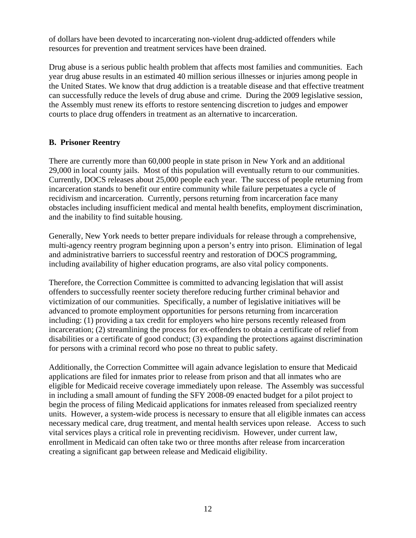of dollars have been devoted to incarcerating non-violent drug-addicted offenders while resources for prevention and treatment services have been drained.

Drug abuse is a serious public health problem that affects most families and communities. Each year drug abuse results in an estimated 40 million serious illnesses or injuries among people in the United States. We know that drug addiction is a treatable disease and that effective treatment can successfully reduce the levels of drug abuse and crime. During the 2009 legislative session, the Assembly must renew its efforts to restore sentencing discretion to judges and empower courts to place drug offenders in treatment as an alternative to incarceration.

#### **B. Prisoner Reentry**

There are currently more than 60,000 people in state prison in New York and an additional 29,000 in local county jails. Most of this population will eventually return to our communities. Currently, DOCS releases about 25,000 people each year. The success of people returning from incarceration stands to benefit our entire community while failure perpetuates a cycle of recidivism and incarceration. Currently, persons returning from incarceration face many obstacles including insufficient medical and mental health benefits, employment discrimination, and the inability to find suitable housing.

Generally, New York needs to better prepare individuals for release through a comprehensive, multi-agency reentry program beginning upon a person's entry into prison. Elimination of legal and administrative barriers to successful reentry and restoration of DOCS programming, including availability of higher education programs, are also vital policy components.

Therefore, the Correction Committee is committed to advancing legislation that will assist offenders to successfully reenter society therefore reducing further criminal behavior and victimization of our communities. Specifically, a number of legislative initiatives will be advanced to promote employment opportunities for persons returning from incarceration including: (1) providing a tax credit for employers who hire persons recently released from incarceration; (2) streamlining the process for ex-offenders to obtain a certificate of relief from disabilities or a certificate of good conduct; (3) expanding the protections against discrimination for persons with a criminal record who pose no threat to public safety.

Additionally, the Correction Committee will again advance legislation to ensure that Medicaid applications are filed for inmates prior to release from prison and that all inmates who are eligible for Medicaid receive coverage immediately upon release. The Assembly was successful in including a small amount of funding the SFY 2008-09 enacted budget for a pilot project to begin the process of filing Medicaid applications for inmates released from specialized reentry units. However, a system-wide process is necessary to ensure that all eligible inmates can access necessary medical care, drug treatment, and mental health services upon release. Access to such vital services plays a critical role in preventing recidivism. However, under current law, enrollment in Medicaid can often take two or three months after release from incarceration creating a significant gap between release and Medicaid eligibility.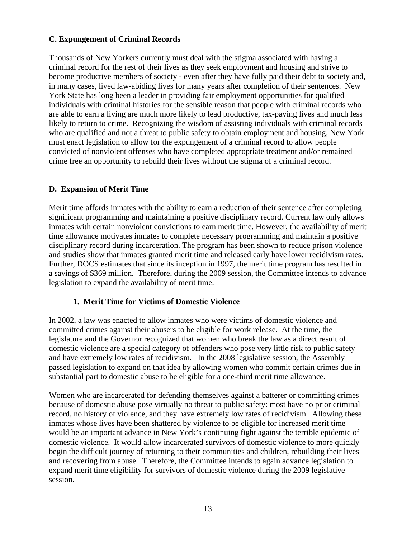### **C. Expungement of Criminal Records**

Thousands of New Yorkers currently must deal with the stigma associated with having a criminal record for the rest of their lives as they seek employment and housing and strive to become productive members of society - even after they have fully paid their debt to society and, in many cases, lived law-abiding lives for many years after completion of their sentences. New York State has long been a leader in providing fair employment opportunities for qualified individuals with criminal histories for the sensible reason that people with criminal records who are able to earn a living are much more likely to lead productive, tax-paying lives and much less likely to return to crime. Recognizing the wisdom of assisting individuals with criminal records who are qualified and not a threat to public safety to obtain employment and housing, New York must enact legislation to allow for the expungement of a criminal record to allow people convicted of nonviolent offenses who have completed appropriate treatment and/or remained crime free an opportunity to rebuild their lives without the stigma of a criminal record.

# **D. Expansion of Merit Time**

Merit time affords inmates with the ability to earn a reduction of their sentence after completing significant programming and maintaining a positive disciplinary record. Current law only allows inmates with certain nonviolent convictions to earn merit time. However, the availability of merit time allowance motivates inmates to complete necessary programming and maintain a positive disciplinary record during incarceration. The program has been shown to reduce prison violence and studies show that inmates granted merit time and released early have lower recidivism rates. Further, DOCS estimates that since its inception in 1997, the merit time program has resulted in a savings of \$369 million. Therefore, during the 2009 session, the Committee intends to advance legislation to expand the availability of merit time.

#### **1. Merit Time for Victims of Domestic Violence**

In 2002, a law was enacted to allow inmates who were victims of domestic violence and committed crimes against their abusers to be eligible for work release. At the time, the legislature and the Governor recognized that women who break the law as a direct result of domestic violence are a special category of offenders who pose very little risk to public safety and have extremely low rates of recidivism. In the 2008 legislative session, the Assembly passed legislation to expand on that idea by allowing women who commit certain crimes due in substantial part to domestic abuse to be eligible for a one-third merit time allowance.

Women who are incarcerated for defending themselves against a batterer or committing crimes because of domestic abuse pose virtually no threat to public safety: most have no prior criminal record, no history of violence, and they have extremely low rates of recidivism. Allowing these inmates whose lives have been shattered by violence to be eligible for increased merit time would be an important advance in New York's continuing fight against the terrible epidemic of domestic violence. It would allow incarcerated survivors of domestic violence to more quickly begin the difficult journey of returning to their communities and children, rebuilding their lives and recovering from abuse. Therefore, the Committee intends to again advance legislation to expand merit time eligibility for survivors of domestic violence during the 2009 legislative session.